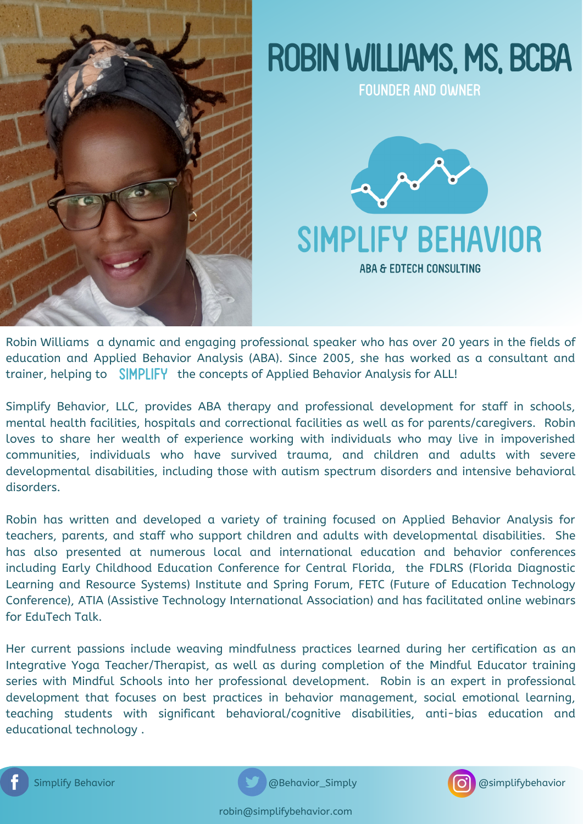

# ROBIN WILLIAMS, MS, BCBA

FOUNDER AND OWNER



Robin Williams a dynamic and engaging professional speaker who has over 20 years in the fields of education and Applied Behavior Analysis (ABA). Since 2005, she has worked as a consultant and trainer, helping to SIMPLIFY the concepts of Applied Behavior Analysis for ALL!

Simplify Behavior, LLC, provides ABA therapy and professional development for staff in schools, mental health facilities, hospitals and correctional facilities as well as for parents/caregivers. Robin loves to share her wealth of experience working with individuals who may live in impoverished communities, individuals who have survived trauma, and children and adults with severe developmental disabilities, including those with autism spectrum disorders and intensive behavioral disorders.

Robin has written and developed a variety of training focused on Applied Behavior Analysis for teachers, parents, and staff who support children and adults with developmental disabilities. She has also presented at numerous local and international education and behavior conferences including Early Childhood Education Conference for Central Florida, the FDLRS (Florida Diagnostic Learning and Resource Systems) Institute and Spring Forum, FETC (Future of Education Technology Conference), ATIA (Assistive Technology International Association) and has facilitated online webinars for EduTech Talk.

Her current passions include weaving mindfulness practices learned during her certification as an Integrative Yoga Teacher/Therapist, as well as during completion of the Mindful Educator training series with Mindful Schools into her professional development. Robin is an expert in professional development that focuses on best practices in behavior management, social emotional learning, teaching students with significant behavioral/cognitive disabilities, anti-bias education and educational technology .